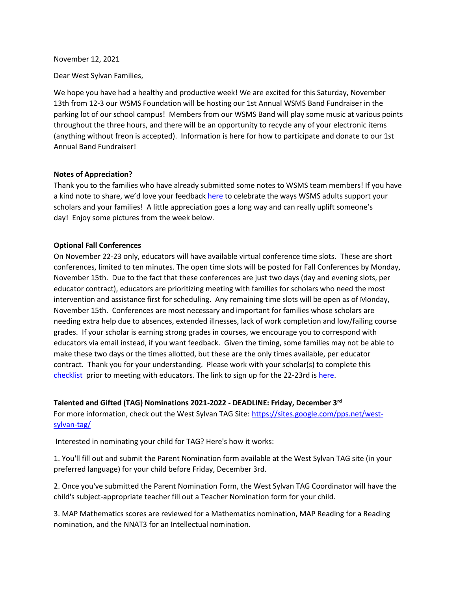#### November 12, 2021

Dear West Sylvan Families,

We hope you have had a healthy and productive week! We are excited for this Saturday, November 13th from 12-3 our WSMS Foundation will be hosting our 1st Annual WSMS Band Fundraiser in the parking lot of our school campus! Members from our WSMS Band will play some music at various points throughout the three hours, and there will be an opportunity to recycle any of your electronic items (anything without freon is accepted). Information is here for how to participate and donate to our 1st Annual Band Fundraiser!

## **Notes of Appreciation?**

Thank you to the families who have already submitted some notes to WSMS team members! If you have a kind note to share, we'd love your feedback [here t](https://forms.gle/3TsJKYDfcfbLhiKu7)o celebrate the ways WSMS adults support your scholars and your families! A little appreciation goes a long way and can really uplift someone's day! Enjoy some pictures from the week below.

## **Optional Fall Conferences**

On November 22-23 only, educators will have available virtual conference time slots. These are short conferences, limited to ten minutes. The open time slots will be posted for Fall Conferences by Monday, November 15th. Due to the fact that these conferences are just two days (day and evening slots, per educator contract), educators are prioritizing meeting with families for scholars who need the most intervention and assistance first for scheduling. Any remaining time slots will be open as of Monday, November 15th. Conferences are most necessary and important for families whose scholars are needing extra help due to absences, extended illnesses, lack of work completion and low/failing course grades. If your scholar is earning strong grades in courses, we encourage you to correspond with educators via email instead, if you want feedback. Given the timing, some families may not be able to make these two days or the times allotted, but these are the only times available, per educator contract. Thank you for your understanding. Please work with your scholar(s) to complete this [checklist](https://docs.google.com/document/d/182Zno8fyb47d5QY399RrzKz7c1f6-kYkmEoFyAJQfrI/edit) prior to meeting with educators. The link to sign up for the 22-23rd is [here.](https://myconferencetime.com/wsms/)

**Talented and Gifted (TAG) Nominations 2021-2022 - DEADLINE: Friday, December 3rd**

For more information, check out the West Sylvan TAG Site: [https://sites.google.com/pps.net/west](https://sites.google.com/pps.net/west-sylvan-tag/)[sylvan-tag/](https://sites.google.com/pps.net/west-sylvan-tag/)

Interested in nominating your child for TAG? Here's how it works:

1. You'll fill out and submit the Parent Nomination form available at the West Sylvan TAG site (in your preferred language) for your child before Friday, December 3rd.

2. Once you've submitted the Parent Nomination Form, the West Sylvan TAG Coordinator will have the child's subject-appropriate teacher fill out a Teacher Nomination form for your child.

3. MAP Mathematics scores are reviewed for a Mathematics nomination, MAP Reading for a Reading nomination, and the NNAT3 for an Intellectual nomination.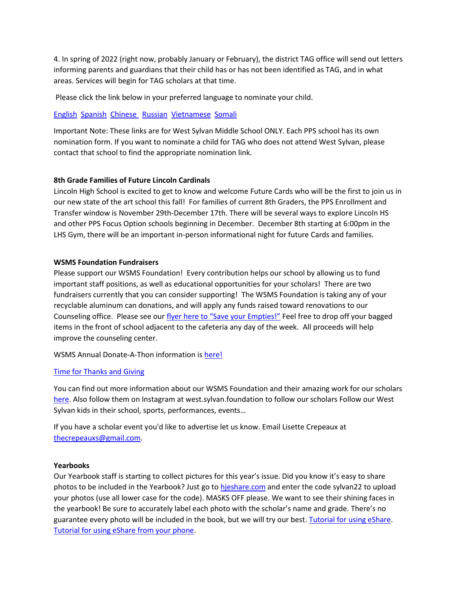4. In spring of 2022 (right now, probably January or February), the district TAG office will send out letters informing parents and guardians that their child has or has not been identified as TAG, and in what areas. Services will begin for TAG scholars at that time.

Please click the link below in your preferred language to nominate your child.

# [English](https://forms.gle/oKdyah1MXX1eN8WB6) [Spanish](https://forms.gle/b6VJZP69C2gqsgN3A) [Chinese](https://forms.gle/xd5drKJcwbqSYQXAA) [Russian](https://forms.gle/LmChwsdKZ1svWoB76) [Vietnamese](https://forms.gle/2sEfWP7EReDPZzRV7) [Somali](https://forms.gle/F4QvUYHYnHJEBtNMA)

Important Note: These links are for West Sylvan Middle School ONLY. Each PPS school has its own nomination form. If you want to nominate a child for TAG who does not attend West Sylvan, please contact that school to find the appropriate nomination link.

# **8th Grade Families of Future Lincoln Cardinals**

Lincoln High School is excited to get to know and welcome Future Cards who will be the first to join us in our new state of the art school this fall! For families of current 8th Graders, the PPS Enrollment and Transfer window is November 29th-December 17th. There will be several ways to explore Lincoln HS and other PPS Focus Option schools beginning in December. December 8th starting at 6:00pm in the LHS Gym, there will be an important in-person informational night for future Cards and families.

# **WSMS Foundation Fundraisers**

Please support our WSMS Foundation! Every contribution helps our school by allowing us to fund important staff positions, as well as educational opportunities for your scholars! There are two fundraisers currently that you can consider supporting! The WSMS Foundation is taking any of your recyclable aluminum can donations, and will apply any funds raised toward renovations to our Counseling office. Please see our [flyer here to "Save your Empties!"](https://drive.google.com/file/d/1QXOTJmEblkxG_rK04tEK5aEuwcpa-NT4/view?usp=sharing) Feel free to drop off your bagged items in the front of school adjacent to the cafeteria any day of the week. All proceeds will help improve the counseling center.

WSMS Annual Donate-A-Thon information is [here!](https://drive.google.com/file/d/1T0ze3mXgCB1RPrT9D9GlBjXWPA_OPBUP/view?usp=sharing)

# [Time for Thanks and Giving](https://drive.google.com/file/d/10aRQlAPxziTeKvyz4VcXbWNnTYNi06bq/view?usp=sharing)

You can find out more information about our WSMS Foundation and their amazing work for our scholars [here.](https://www.westsylvanfoundation.com/) Also follow them on Instagram at west.sylvan.foundation to follow our scholars Follow our West Sylvan kids in their school, sports, performances, events…

If you have a scholar event you'd like to advertise let us know. Email Lisette Crepeaux at [thecrepeauxs@gmail.com.](mailto:thecrepeauxs@gmail.com)

# **Yearbooks**

Our Yearbook staff is starting to collect pictures for this year's issue. Did you know it's easy to share photos to be included in the Yearbook? Just go to [hjeshare.com](https://hjeshare.com/eShare/) and enter the code sylvan22 to upload your photos (use all lower case for the code). MASKS OFF please. We want to see their shining faces in the yearbook! Be sure to accurately label each photo with the scholar's name and grade. There's no guarantee every photo will be included in the book, but we will try our best. [Tutorial for using eShare.](https://herffjones.wistia.com/medias/h1e7m2ythz) [Tutorial for using eShare from your phone.](https://herffjones.wistia.com/medias/62ap3qbbp3)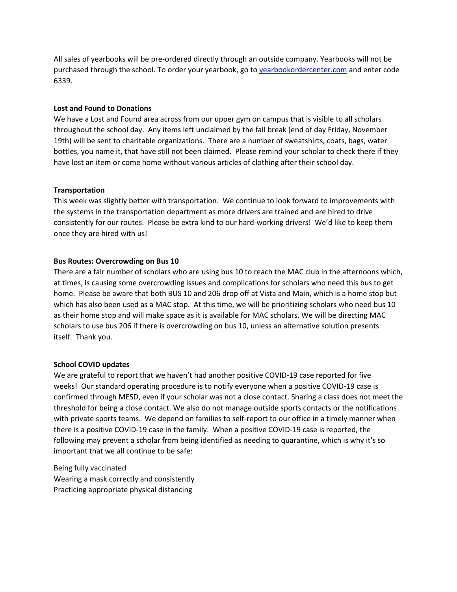All sales of yearbooks will be pre-ordered directly through an outside company. Yearbooks will not be purchased through the school. To order your yearbook, go to [yearbookordercenter.com](http://yearbookordercenter.com/) and enter code 6339.

## **Lost and Found to Donations**

We have a Lost and Found area across from our upper gym on campus that is visible to all scholars throughout the school day. Any items left unclaimed by the fall break (end of day Friday, November 19th) will be sent to charitable organizations. There are a number of sweatshirts, coats, bags, water bottles, you name it, that have still not been claimed. Please remind your scholar to check there if they have lost an item or come home without various articles of clothing after their school day.

## **Transportation**

This week was slightly better with transportation. We continue to look forward to improvements with the systems in the transportation department as more drivers are trained and are hired to drive consistently for our routes. Please be extra kind to our hard-working drivers! We'd like to keep them once they are hired with us!

## **Bus Routes: Overcrowding on Bus 10**

There are a fair number of scholars who are using bus 10 to reach the MAC club in the afternoons which, at times, is causing some overcrowding issues and complications for scholars who need this bus to get home. Please be aware that both BUS 10 and 206 drop off at Vista and Main, which is a home stop but which has also been used as a MAC stop. At this time, we will be prioritizing scholars who need bus 10 as their home stop and will make space as it is available for MAC scholars. We will be directing MAC scholars to use bus 206 if there is overcrowding on bus 10, unless an alternative solution presents itself. Thank you.

# **School COVID updates**

We are grateful to report that we haven't had another positive COVID-19 case reported for five weeks! Our standard operating procedure is to notify everyone when a positive COVID-19 case is confirmed through MESD, even if your scholar was not a close contact. Sharing a class does not meet the threshold for being a close contact. We also do not manage outside sports contacts or the notifications with private sports teams. We depend on families to self-report to our office in a timely manner when there is a positive COVID-19 case in the family. When a positive COVID-19 case is reported, the following may prevent a scholar from being identified as needing to quarantine, which is why it's so important that we all continue to be safe:

Being fully vaccinated Wearing a mask correctly and consistently Practicing appropriate physical distancing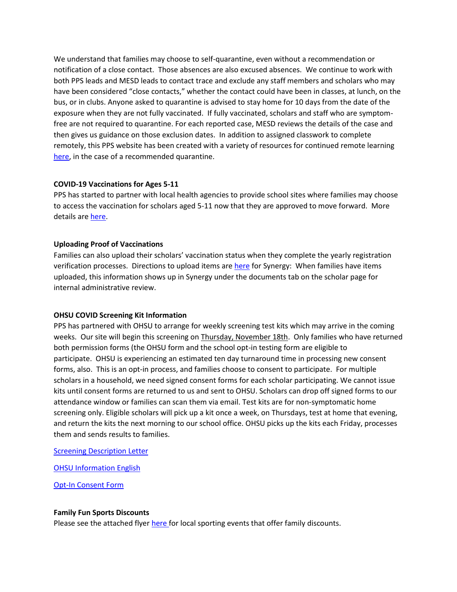We understand that families may choose to self-quarantine, even without a recommendation or notification of a close contact. Those absences are also excused absences. We continue to work with both PPS leads and MESD leads to contact trace and exclude any staff members and scholars who may have been considered "close contacts," whether the contact could have been in classes, at lunch, on the bus, or in clubs. Anyone asked to quarantine is advised to stay home for 10 days from the date of the exposure when they are not fully vaccinated. If fully vaccinated, scholars and staff who are symptomfree are not required to quarantine. For each reported case, MESD reviews the details of the case and then gives us guidance on those exclusion dates. In addition to assigned classwork to complete remotely, this PPS website has been created with a variety of resources for continued remote learning [here,](https://sites.google.com/pps.net/ppsquarantinelessons/home?authuser=0) in the case of a recommended quarantine.

## **COVID-19 Vaccinations for Ages 5-11**

PPS has started to partner with local health agencies to provide school sites where families may choose to access the vaccination for scholars aged 5-11 now that they are approved to move forward. More details are [here.](https://www.pps.net/site/default.aspx?PageType=3&DomainID=4&ModuleInstanceID=1492&PageModuleInstanceID=1594&ViewID=ad4d6d9d-7046-48e7-a548-a6a23a68d076&RenderLoc=0&FlexDataID=173571&PageID=1)

## **Uploading Proof of Vaccinations**

Families can also upload their scholars' vaccination status when they complete the yearly registration verification processes. Directions to upload items are [here](https://docs.google.com/document/d/1AxHhVVEjAqJxV1Vuh9PnfwkZHcp-Tde_x6iFOOEy58Y/edit) for Synergy: When families have items uploaded, this information shows up in Synergy under the documents tab on the scholar page for internal administrative review.

#### **OHSU COVID Screening Kit Information**

PPS has partnered with OHSU to arrange for weekly screening test kits which may arrive in the coming weeks. Our site will begin this screening on Thursday, November 18th. Only families who have returned both permission forms (the OHSU form and the school opt-in testing form are eligible to participate. OHSU is experiencing an estimated ten day turnaround time in processing new consent forms, also. This is an opt-in process, and families choose to consent to participate. For multiple scholars in a household, we need signed consent forms for each scholar participating. We cannot issue kits until consent forms are returned to us and sent to OHSU. Scholars can drop off signed forms to our attendance window or families can scan them via email. Test kits are for non-symptomatic home screening only. Eligible scholars will pick up a kit once a week, on Thursdays, test at home that evening, and return the kits the next morning to our school office. OHSU picks up the kits each Friday, processes them and sends results to families.

[Screening Description Letter](https://drive.google.com/file/d/12Z90ONF4FucYQEY1m9-dirsQF39L4si-/view?usp=sharing)

**[OHSU Information English](https://drive.google.com/file/d/1c68pUs3D8wSuSpbB4BtpkbXNDaAs5TOt/view?usp=sharing)** 

[Opt-In Consent Form](https://drive.google.com/file/d/1NKzp7NpCNYH5kn2GMiXyKcxuNDartL3g/view?usp=sharing)

#### **Family Fun Sports Discounts**

Please see the attached flyer [here f](https://drive.google.com/file/d/1-TR2i7Ddh3AUQWoiXybSHQJFNFEpFspg/view?usp=sharing)or local sporting events that offer family discounts.